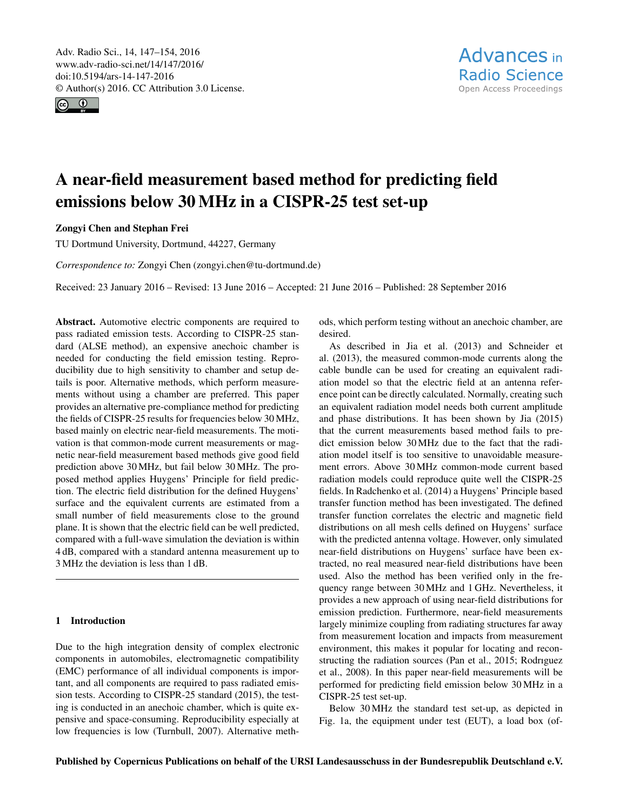<span id="page-0-0"></span>Adv. Radio Sci., 14, 147–154, 2016 www.adv-radio-sci.net/14/147/2016/ doi:10.5194/ars-14-147-2016 © Author(s) 2016. CC Attribution 3.0 License.



# A near-field measurement based method for predicting field emissions below 30 MHz in a CISPR-25 test set-up

# Zongyi Chen and Stephan Frei

TU Dortmund University, Dortmund, 44227, Germany

*Correspondence to:* Zongyi Chen (zongyi.chen@tu-dortmund.de)

Received: 23 January 2016 – Revised: 13 June 2016 – Accepted: 21 June 2016 – Published: 28 September 2016

Abstract. Automotive electric components are required to pass radiated emission tests. According to CISPR-25 standard (ALSE method), an expensive anechoic chamber is needed for conducting the field emission testing. Reproducibility due to high sensitivity to chamber and setup details is poor. Alternative methods, which perform measurements without using a chamber are preferred. This paper provides an alternative pre-compliance method for predicting the fields of CISPR-25 results for frequencies below 30 MHz, based mainly on electric near-field measurements. The motivation is that common-mode current measurements or magnetic near-field measurement based methods give good field prediction above 30 MHz, but fail below 30 MHz. The proposed method applies Huygens' Principle for field prediction. The electric field distribution for the defined Huygens' surface and the equivalent currents are estimated from a small number of field measurements close to the ground plane. It is shown that the electric field can be well predicted, compared with a full-wave simulation the deviation is within 4 dB, compared with a standard antenna measurement up to 3 MHz the deviation is less than 1 dB.

## 1 Introduction

Due to the high integration density of complex electronic components in automobiles, electromagnetic compatibility (EMC) performance of all individual components is important, and all components are required to pass radiated emission tests. According to CISPR-25 standard (2015), the testing is conducted in an anechoic chamber, which is quite expensive and space-consuming. Reproducibility especially at low frequencies is low (Turnbull, 2007). Alternative methods, which perform testing without an anechoic chamber, are desired.

As described in Jia et al. (2013) and Schneider et al. (2013), the measured common-mode currents along the cable bundle can be used for creating an equivalent radiation model so that the electric field at an antenna reference point can be directly calculated. Normally, creating such an equivalent radiation model needs both current amplitude and phase distributions. It has been shown by Jia (2015) that the current measurements based method fails to predict emission below 30 MHz due to the fact that the radiation model itself is too sensitive to unavoidable measurement errors. Above 30 MHz common-mode current based radiation models could reproduce quite well the CISPR-25 fields. In Radchenko et al. (2014) a Huygens' Principle based transfer function method has been investigated. The defined transfer function correlates the electric and magnetic field distributions on all mesh cells defined on Huygens' surface with the predicted antenna voltage. However, only simulated near-field distributions on Huygens' surface have been extracted, no real measured near-field distributions have been used. Also the method has been verified only in the frequency range between 30 MHz and 1 GHz. Nevertheless, it provides a new approach of using near-field distributions for emission prediction. Furthermore, near-field measurements largely minimize coupling from radiating structures far away from measurement location and impacts from measurement environment, this makes it popular for locating and reconstructing the radiation sources (Pan et al., 2015; Rodrıguez et al., 2008). In this paper near-field measurements will be performed for predicting field emission below 30 MHz in a CISPR-25 test set-up.

Below 30 MHz the standard test set-up, as depicted in Fig. 1a, the equipment under test (EUT), a load box (of-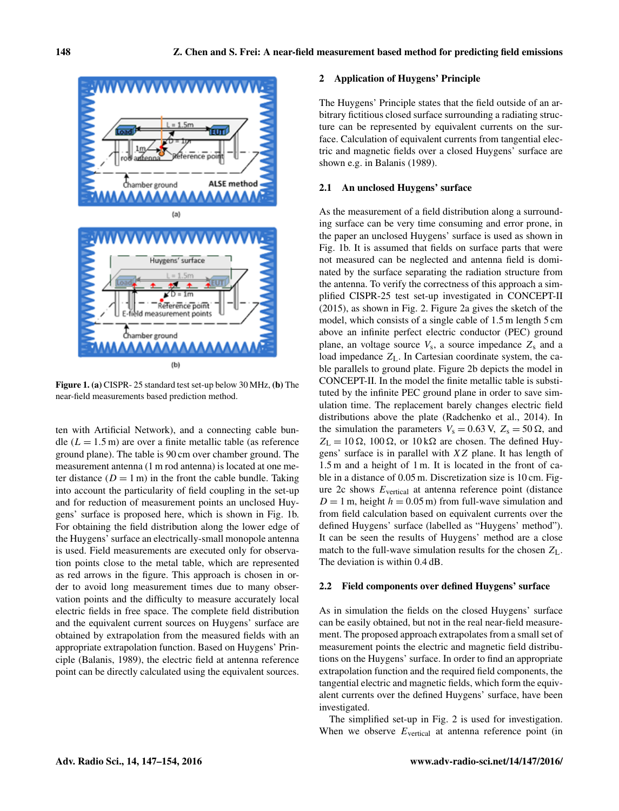

Figure 1. (a) CISPR- 25 standard test set-up below 30 MHz, (b) The near-field measurements based prediction method.

ten with Artificial Network), and a connecting cable bundle ( $L = 1.5$  m) are over a finite metallic table (as reference ground plane). The table is 90 cm over chamber ground. The measurement antenna (1 m rod antenna) is located at one meter distance  $(D = 1 \text{ m})$  in the front the cable bundle. Taking into account the particularity of field coupling in the set-up and for reduction of measurement points an unclosed Huygens' surface is proposed here, which is shown in Fig. 1b. For obtaining the field distribution along the lower edge of the Huygens' surface an electrically-small monopole antenna is used. Field measurements are executed only for observation points close to the metal table, which are represented as red arrows in the figure. This approach is chosen in order to avoid long measurement times due to many observation points and the difficulty to measure accurately local electric fields in free space. The complete field distribution and the equivalent current sources on Huygens' surface are obtained by extrapolation from the measured fields with an appropriate extrapolation function. Based on Huygens' Principle (Balanis, 1989), the electric field at antenna reference point can be directly calculated using the equivalent sources.

### 2 Application of Huygens' Principle

The Huygens' Principle states that the field outside of an arbitrary fictitious closed surface surrounding a radiating structure can be represented by equivalent currents on the surface. Calculation of equivalent currents from tangential electric and magnetic fields over a closed Huygens' surface are shown e.g. in Balanis (1989).

## 2.1 An unclosed Huygens' surface

As the measurement of a field distribution along a surrounding surface can be very time consuming and error prone, in the paper an unclosed Huygens' surface is used as shown in Fig. 1b. It is assumed that fields on surface parts that were not measured can be neglected and antenna field is dominated by the surface separating the radiation structure from the antenna. To verify the correctness of this approach a simplified CISPR-25 test set-up investigated in CONCEPT-II (2015), as shown in Fig. 2. Figure 2a gives the sketch of the model, which consists of a single cable of 1.5 m length 5 cm above an infinite perfect electric conductor (PEC) ground plane, an voltage source  $V_s$ , a source impedance  $Z_s$  and a load impedance  $Z_L$ . In Cartesian coordinate system, the cable parallels to ground plate. Figure 2b depicts the model in CONCEPT-II. In the model the finite metallic table is substituted by the infinite PEC ground plane in order to save simulation time. The replacement barely changes electric field distributions above the plate (Radchenko et al., 2014). In the simulation the parameters  $V_s = 0.63$  V,  $Z_s = 50 \Omega$ , and  $Z_{\text{L}} = 10 \Omega$ , 100  $\Omega$ , or 10 k $\Omega$  are chosen. The defined Huygens' surface is in parallel with XZ plane. It has length of 1.5 m and a height of 1 m. It is located in the front of cable in a distance of 0.05 m. Discretization size is 10 cm. Figure  $2c$  shows  $E_{vertical}$  at antenna reference point (distance  $D = 1$  m, height  $h = 0.05$  m) from full-wave simulation and from field calculation based on equivalent currents over the defined Huygens' surface (labelled as "Huygens' method"). It can be seen the results of Huygens' method are a close match to the full-wave simulation results for the chosen  $Z_L$ . The deviation is within 0.4 dB.

#### 2.2 Field components over defined Huygens' surface

As in simulation the fields on the closed Huygens' surface can be easily obtained, but not in the real near-field measurement. The proposed approach extrapolates from a small set of measurement points the electric and magnetic field distributions on the Huygens' surface. In order to find an appropriate extrapolation function and the required field components, the tangential electric and magnetic fields, which form the equivalent currents over the defined Huygens' surface, have been investigated.

The simplified set-up in Fig. 2 is used for investigation. When we observe  $E_{\text{vertical}}$  at antenna reference point (in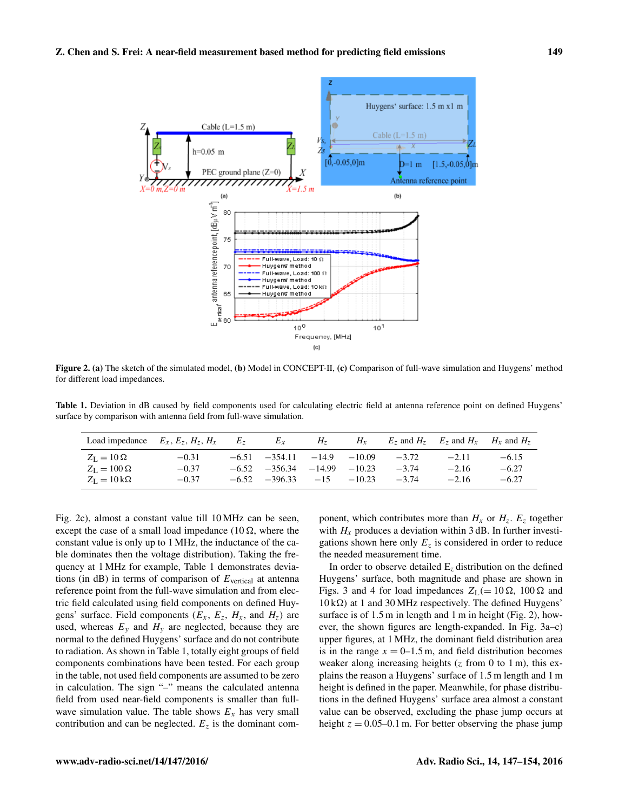

Figure 2. (a) The sketch of the simulated model, (b) Model in CONCEPT-II, (c) Comparison of full-wave simulation and Huygens' method for different load impedances.

Table 1. Deviation in dB caused by field components used for calculating electric field at antenna reference point on defined Huygens' surface by comparison with antenna field from full-wave simulation.

|                               | Load impedance $E_x, E_z, H_z, H_x$ | $E_z$ | $E_x$                               | H <sub>7</sub> | $H_x$    |         | $E_7$ and $H_7$ $E_7$ and $H_x$ $H_x$ and $H_7$ |         |
|-------------------------------|-------------------------------------|-------|-------------------------------------|----------------|----------|---------|-------------------------------------------------|---------|
| $Z_I = 10 \Omega$             | $-0.31$                             |       | $-6.51 -354.11 -14.9 -10.09$        |                |          | $-3.72$ | $-2.11$                                         | $-6.15$ |
| $Z_{\rm L} = 100 \,\Omega$    | $-0.37$                             |       | $-6.52$ $-356.34$ $-14.99$ $-10.23$ |                |          | $-3.74$ | $-2.16$                                         | $-6.27$ |
| $Z_L = 10 \,\mathrm{k}\Omega$ | $-0.37$                             |       | $-6.52 -396.33 -15$                 |                | $-10.23$ | $-3.74$ | $-2.16$                                         | $-6.27$ |

Fig. 2c), almost a constant value till 10 MHz can be seen, except the case of a small load impedance (10  $\Omega$ , where the constant value is only up to 1 MHz, the inductance of the cable dominates then the voltage distribution). Taking the frequency at 1 MHz for example, Table 1 demonstrates deviations (in  $dB$ ) in terms of comparison of  $E_{vertical}$  at antenna reference point from the full-wave simulation and from electric field calculated using field components on defined Huygens' surface. Field components  $(E_x, E_z, H_x, \text{ and } H_z)$  are used, whereas  $E_y$  and  $H_y$  are neglected, because they are normal to the defined Huygens' surface and do not contribute to radiation. As shown in Table 1, totally eight groups of field components combinations have been tested. For each group in the table, not used field components are assumed to be zero in calculation. The sign "–" means the calculated antenna field from used near-field components is smaller than fullwave simulation value. The table shows  $E<sub>x</sub>$  has very small contribution and can be neglected.  $E<sub>z</sub>$  is the dominant component, which contributes more than  $H_x$  or  $H_z$ .  $E_z$  together with  $H_x$  produces a deviation within 3 dB. In further investigations shown here only  $E<sub>z</sub>$  is considered in order to reduce the needed measurement time.

In order to observe detailed  $E<sub>z</sub>$  distribution on the defined Huygens' surface, both magnitude and phase are shown in Figs. 3 and 4 for load impedances  $Z_L$  (= 10  $\Omega$ , 100  $\Omega$  and  $10 \text{ k}\Omega$ ) at 1 and 30 MHz respectively. The defined Huygens' surface is of 1.5 m in length and 1 m in height (Fig. 2), however, the shown figures are length-expanded. In Fig. 3a–c) upper figures, at 1 MHz, the dominant field distribution area is in the range  $x = 0$ –1.5 m, and field distribution becomes weaker along increasing heights  $(z \text{ from } 0 \text{ to } 1 \text{ m})$ , this explains the reason a Huygens' surface of 1.5 m length and 1 m height is defined in the paper. Meanwhile, for phase distributions in the defined Huygens' surface area almost a constant value can be observed, excluding the phase jump occurs at height  $z = 0.05{\text -}0.1$  m. For better observing the phase jump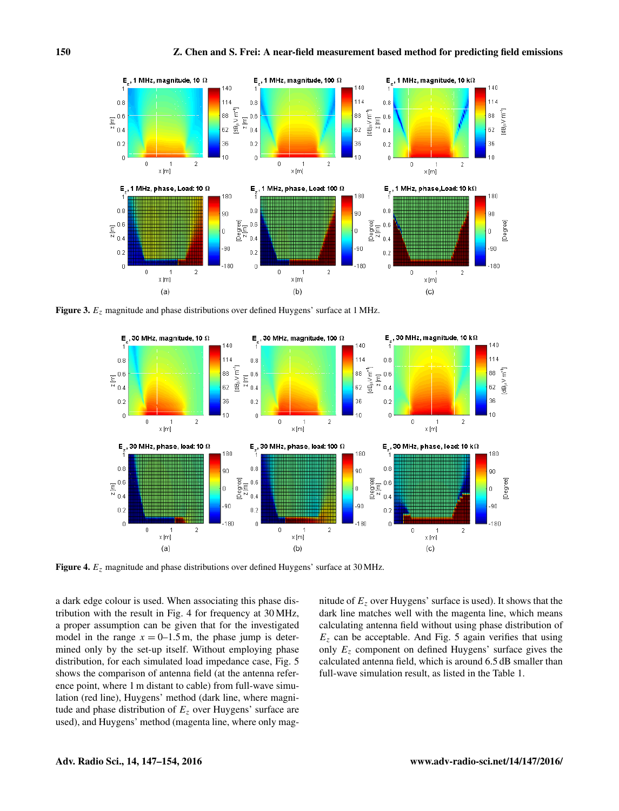

Figure 3.  $E_z$  magnitude and phase distributions over defined Huygens' surface at 1 MHz.



Figure 4.  $E_z$  magnitude and phase distributions over defined Huygens' surface at 30 MHz.

a dark edge colour is used. When associating this phase distribution with the result in Fig. 4 for frequency at 30 MHz, a proper assumption can be given that for the investigated model in the range  $x = 0$ –1.5 m, the phase jump is determined only by the set-up itself. Without employing phase distribution, for each simulated load impedance case, Fig. 5 shows the comparison of antenna field (at the antenna reference point, where 1 m distant to cable) from full-wave simulation (red line), Huygens' method (dark line, where magnitude and phase distribution of  $E<sub>z</sub>$  over Huygens' surface are used), and Huygens' method (magenta line, where only magnitude of  $E<sub>z</sub>$  over Huygens' surface is used). It shows that the dark line matches well with the magenta line, which means calculating antenna field without using phase distribution of  $E<sub>z</sub>$  can be acceptable. And Fig. 5 again verifies that using only  $E<sub>z</sub>$  component on defined Huygens' surface gives the calculated antenna field, which is around 6.5 dB smaller than full-wave simulation result, as listed in the Table 1.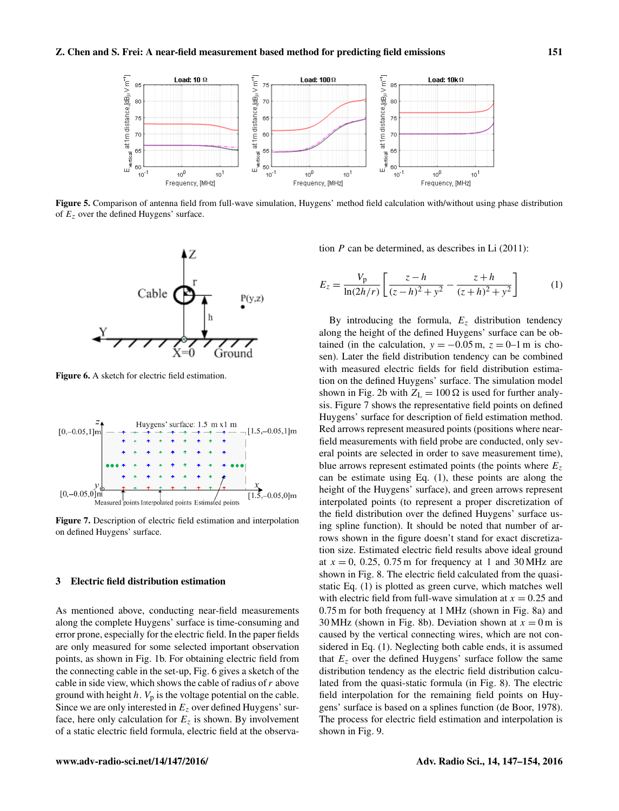

Figure 5. Comparison of antenna field from full-wave simulation, Huygens' method field calculation with/without using phase distribution of  $E<sub>z</sub>$  over the defined Huygens' surface.



Figure 6. A sketch for electric field estimation.



Figure 7. Description of electric field estimation and interpolation on defined Huygens' surface.

#### 3 Electric field distribution estimation

As mentioned above, conducting near-field measurements along the complete Huygens' surface is time-consuming and error prone, especially for the electric field. In the paper fields are only measured for some selected important observation points, as shown in Fig. 1b. For obtaining electric field from the connecting cable in the set-up, Fig. 6 gives a sketch of the cable in side view, which shows the cable of radius of  $r$  above ground with height  $h$ .  $V_p$  is the voltage potential on the cable. Since we are only interested in  $E<sub>z</sub>$  over defined Huygens' surface, here only calculation for  $E<sub>z</sub>$  is shown. By involvement of a static electric field formula, electric field at the observation  $P$  can be determined, as describes in Li  $(2011)$ :

$$
E_z = \frac{V_p}{\ln(2h/r)} \left[ \frac{z - h}{(z - h)^2 + y^2} - \frac{z + h}{(z + h)^2 + y^2} \right] \tag{1}
$$

By introducing the formula,  $E_z$  distribution tendency along the height of the defined Huygens' surface can be obtained (in the calculation,  $y = -0.05$  m,  $z = 0$ –1 m is chosen). Later the field distribution tendency can be combined with measured electric fields for field distribution estimation on the defined Huygens' surface. The simulation model shown in Fig. 2b with  $Z_L = 100 \Omega$  is used for further analysis. Figure 7 shows the representative field points on defined Huygens' surface for description of field estimation method. Red arrows represent measured points (positions where nearfield measurements with field probe are conducted, only several points are selected in order to save measurement time), blue arrows represent estimated points (the points where  $E<sub>z</sub>$ can be estimate using Eq. (1), these points are along the height of the Huygens' surface), and green arrows represent interpolated points (to represent a proper discretization of the field distribution over the defined Huygens' surface using spline function). It should be noted that number of arrows shown in the figure doesn't stand for exact discretization size. Estimated electric field results above ideal ground at  $x = 0$ , 0.25, 0.75 m for frequency at 1 and 30 MHz are shown in Fig. 8. The electric field calculated from the quasistatic Eq. (1) is plotted as green curve, which matches well with electric field from full-wave simulation at  $x = 0.25$  and 0.75 m for both frequency at 1 MHz (shown in Fig. 8a) and 30 MHz (shown in Fig. 8b). Deviation shown at  $x = 0$  m is caused by the vertical connecting wires, which are not considered in Eq. (1). Neglecting both cable ends, it is assumed that  $E<sub>z</sub>$  over the defined Huygens' surface follow the same distribution tendency as the electric field distribution calculated from the quasi-static formula (in Fig. 8). The electric field interpolation for the remaining field points on Huygens' surface is based on a splines function (de Boor, 1978). The process for electric field estimation and interpolation is shown in Fig. 9.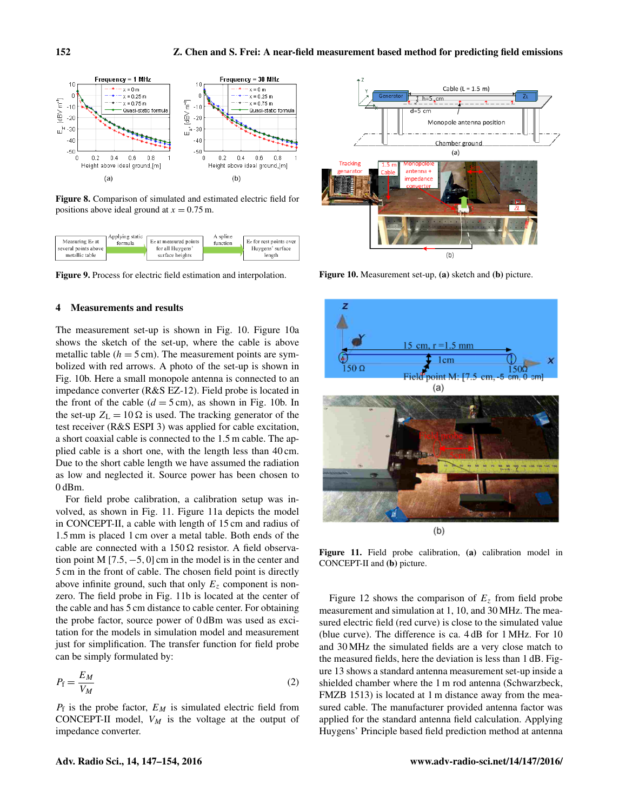

Figure 8. Comparison of simulated and estimated electric field for positions above ideal ground at  $x = 0.75$  m.



Figure 9. Process for electric field estimation and interpolation.

#### 4 Measurements and results

The measurement set-up is shown in Fig. 10. Figure 10a shows the sketch of the set-up, where the cable is above metallic table ( $h = 5$  cm). The measurement points are symbolized with red arrows. A photo of the set-up is shown in Fig. 10b. Here a small monopole antenna is connected to an impedance converter (R&S EZ-12). Field probe is located in the front of the cable  $(d = 5 \text{ cm})$ , as shown in Fig. 10b. In the set-up  $Z_{\text{L}} = 10 \Omega$  is used. The tracking generator of the test receiver (R&S ESPI 3) was applied for cable excitation, a short coaxial cable is connected to the 1.5 m cable. The applied cable is a short one, with the length less than 40 cm. Due to the short cable length we have assumed the radiation as low and neglected it. Source power has been chosen to 0 dBm.

For field probe calibration, a calibration setup was involved, as shown in Fig. 11. Figure 11a depicts the model in CONCEPT-II, a cable with length of 15 cm and radius of 1.5 mm is placed 1 cm over a metal table. Both ends of the cable are connected with a  $150 \Omega$  resistor. A field observation point M  $[7.5, -5, 0]$  cm in the model is in the center and 5 cm in the front of cable. The chosen field point is directly above infinite ground, such that only  $E<sub>z</sub>$  component is nonzero. The field probe in Fig. 11b is located at the center of the cable and has 5 cm distance to cable center. For obtaining the probe factor, source power of 0 dBm was used as excitation for the models in simulation model and measurement just for simplification. The transfer function for field probe can be simply formulated by:

$$
P_{\rm f} = \frac{E_M}{V_M} \tag{2}
$$

 $P_f$  is the probe factor,  $E_M$  is simulated electric field from CONCEPT-II model,  $V_M$  is the voltage at the output of impedance converter.



Figure 10. Measurement set-up, (a) sketch and (b) picture.



Figure 11. Field probe calibration, (a) calibration model in CONCEPT-II and (b) picture.

Figure 12 shows the comparison of  $E<sub>z</sub>$  from field probe measurement and simulation at 1, 10, and 30 MHz. The measured electric field (red curve) is close to the simulated value (blue curve). The difference is ca. 4 dB for 1 MHz. For 10 and 30 MHz the simulated fields are a very close match to the measured fields, here the deviation is less than 1 dB. Figure 13 shows a standard antenna measurement set-up inside a shielded chamber where the 1 m rod antenna (Schwarzbeck, FMZB 1513) is located at 1 m distance away from the measured cable. The manufacturer provided antenna factor was applied for the standard antenna field calculation. Applying Huygens' Principle based field prediction method at antenna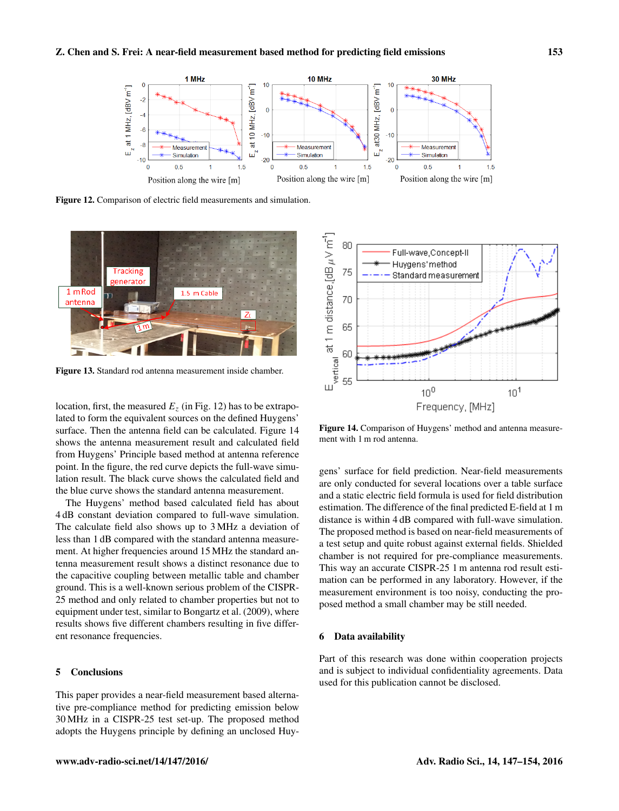

Figure 12. Comparison of electric field measurements and simulation.



Figure 13. Standard rod antenna measurement inside chamber.

location, first, the measured  $E_z$  (in Fig. 12) has to be extrapolated to form the equivalent sources on the defined Huygens' surface. Then the antenna field can be calculated. Figure 14 shows the antenna measurement result and calculated field from Huygens' Principle based method at antenna reference point. In the figure, the red curve depicts the full-wave simulation result. The black curve shows the calculated field and the blue curve shows the standard antenna measurement.

The Huygens' method based calculated field has about 4 dB constant deviation compared to full-wave simulation. The calculate field also shows up to 3 MHz a deviation of less than 1 dB compared with the standard antenna measurement. At higher frequencies around 15 MHz the standard antenna measurement result shows a distinct resonance due to the capacitive coupling between metallic table and chamber ground. This is a well-known serious problem of the CISPR-25 method and only related to chamber properties but not to equipment under test, similar to Bongartz et al. (2009), where results shows five different chambers resulting in five different resonance frequencies.

## 5 Conclusions

This paper provides a near-field measurement based alternative pre-compliance method for predicting emission below 30 MHz in a CISPR-25 test set-up. The proposed method adopts the Huygens principle by defining an unclosed Huy-



Figure 14. Comparison of Huygens' method and antenna measurement with 1 m rod antenna.

gens' surface for field prediction. Near-field measurements are only conducted for several locations over a table surface and a static electric field formula is used for field distribution estimation. The difference of the final predicted E-field at 1 m distance is within 4 dB compared with full-wave simulation. The proposed method is based on near-field measurements of a test setup and quite robust against external fields. Shielded chamber is not required for pre-compliance measurements. This way an accurate CISPR-25 1 m antenna rod result estimation can be performed in any laboratory. However, if the measurement environment is too noisy, conducting the proposed method a small chamber may be still needed.

#### 6 Data availability

Part of this research was done within cooperation projects and is subject to individual confidentiality agreements. Data used for this publication cannot be disclosed.